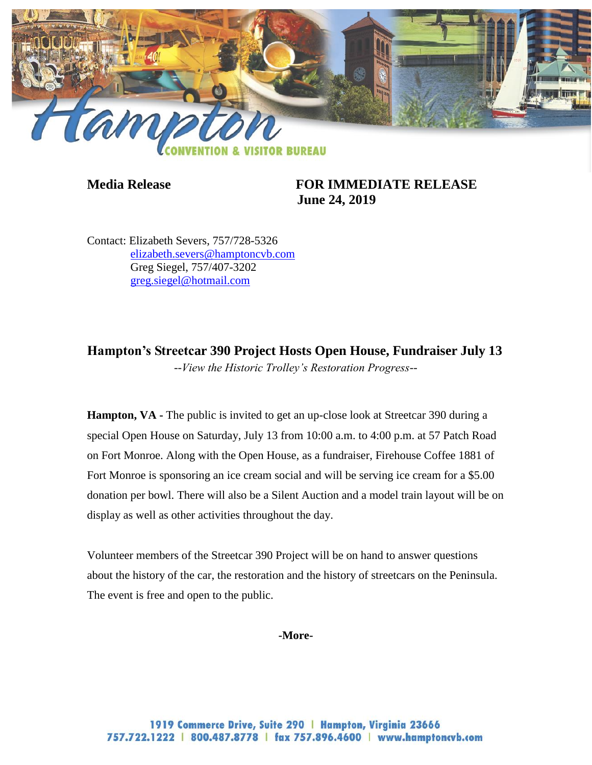

**Media Release FOR IMMEDIATE RELEASE June 24, 2019**

Contact: Elizabeth Severs, 757/728-5326 [elizabeth.severs@hamptoncvb.com](mailto:elizabeth.severs@hamptoncvb.com) Greg Siegel, 757/407-3202 [greg.siegel@hotmail.com](mailto:greg.siegel@hotmail.com)

**Hampton's Streetcar 390 Project Hosts Open House, Fundraiser July 13** *--View the Historic Trolley's Restoration Progress--*

**Hampton, VA** - The public is invited to get an up-close look at Streetcar 390 during a special Open House on Saturday, July 13 from 10:00 a.m. to 4:00 p.m. at 57 Patch Road on Fort Monroe. Along with the Open House, as a fundraiser, Firehouse Coffee 1881 of Fort Monroe is sponsoring an ice cream social and will be serving ice cream for a \$5.00 donation per bowl. There will also be a Silent Auction and a model train layout will be on display as well as other activities throughout the day.

Volunteer members of the Streetcar 390 Project will be on hand to answer questions about the history of the car, the restoration and the history of streetcars on the Peninsula. The event is free and open to the public.

**-More-**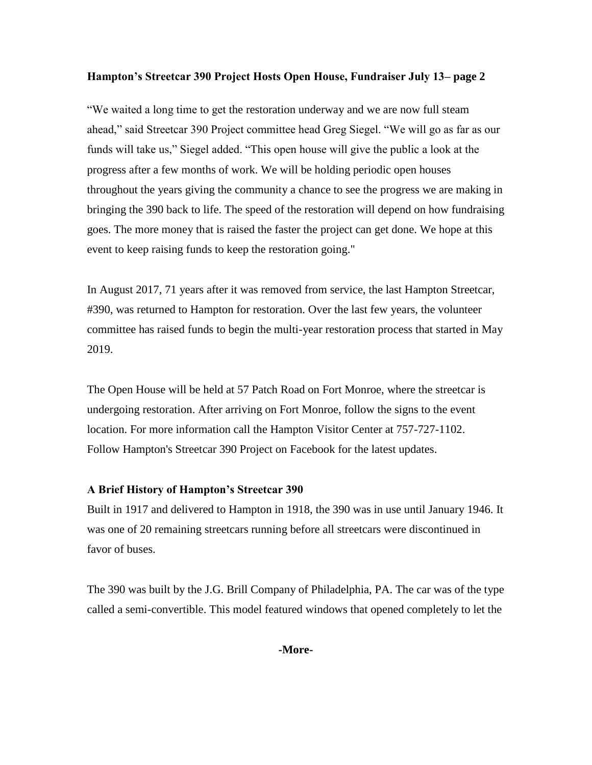### **Hampton's Streetcar 390 Project Hosts Open House, Fundraiser July 13– page 2**

"We waited a long time to get the restoration underway and we are now full steam ahead," said Streetcar 390 Project committee head Greg Siegel. "We will go as far as our funds will take us," Siegel added. "This open house will give the public a look at the progress after a few months of work. We will be holding periodic open houses throughout the years giving the community a chance to see the progress we are making in bringing the 390 back to life. The speed of the restoration will depend on how fundraising goes. The more money that is raised the faster the project can get done. We hope at this event to keep raising funds to keep the restoration going."

In August 2017, 71 years after it was removed from service, the last Hampton Streetcar, #390, was returned to Hampton for restoration. Over the last few years, the volunteer committee has raised funds to begin the multi-year restoration process that started in May 2019.

The Open House will be held at 57 Patch Road on Fort Monroe, where the streetcar is undergoing restoration. After arriving on Fort Monroe, follow the signs to the event location. For more information call the Hampton Visitor Center at 757-727-1102. Follow Hampton's Streetcar 390 Project on Facebook for the latest updates.

# **A Brief History of Hampton's Streetcar 390**

Built in 1917 and delivered to Hampton in 1918, the 390 was in use until January 1946. It was one of 20 remaining streetcars running before all streetcars were discontinued in favor of buses.

The 390 was built by the J.G. Brill Company of Philadelphia, PA. The car was of the type called a semi-convertible. This model featured windows that opened completely to let the

**-More-**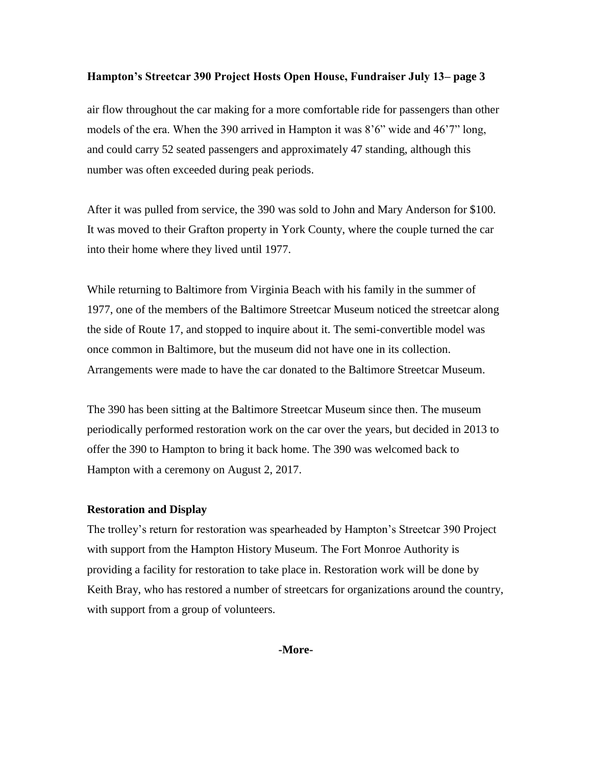### **Hampton's Streetcar 390 Project Hosts Open House, Fundraiser July 13– page 3**

air flow throughout the car making for a more comfortable ride for passengers than other models of the era. When the 390 arrived in Hampton it was 8'6" wide and 46'7" long, and could carry 52 seated passengers and approximately 47 standing, although this number was often exceeded during peak periods.

After it was pulled from service, the 390 was sold to John and Mary Anderson for \$100. It was moved to their Grafton property in York County, where the couple turned the car into their home where they lived until 1977.

While returning to Baltimore from Virginia Beach with his family in the summer of 1977, one of the members of the Baltimore Streetcar Museum noticed the streetcar along the side of Route 17, and stopped to inquire about it. The semi-convertible model was once common in Baltimore, but the museum did not have one in its collection. Arrangements were made to have the car donated to the Baltimore Streetcar Museum.

The 390 has been sitting at the Baltimore Streetcar Museum since then. The museum periodically performed restoration work on the car over the years, but decided in 2013 to offer the 390 to Hampton to bring it back home. The 390 was welcomed back to Hampton with a ceremony on August 2, 2017.

# **Restoration and Display**

The trolley's return for restoration was spearheaded by Hampton's Streetcar 390 Project with support from the Hampton History Museum. The Fort Monroe Authority is providing a facility for restoration to take place in. Restoration work will be done by Keith Bray, who has restored a number of streetcars for organizations around the country, with support from a group of volunteers.

**-More-**